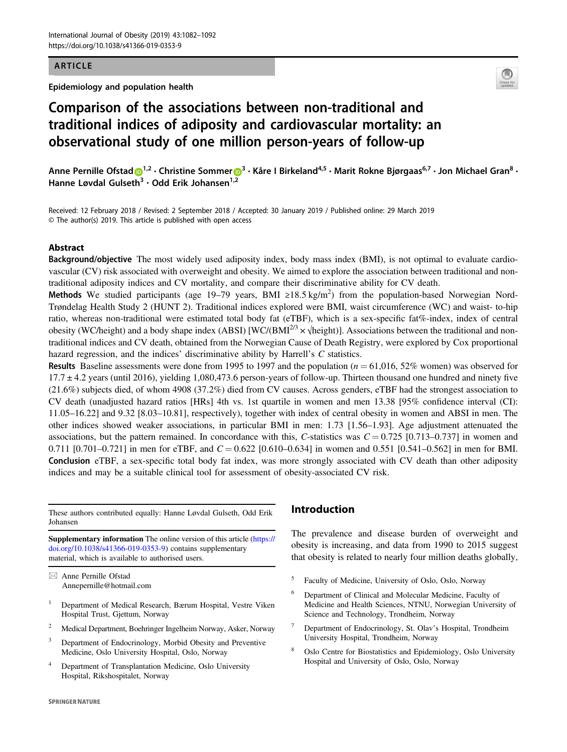## ARTICLE

Epidemiology and population health



# Comparison of the associations between non-traditional and traditional indices of adiposity and cardiovascular mortality: an observational study of one million person-years of follow-up

Anne Pernille Ofsta[d](http://orcid.org/0000-0003-2714-0102) D<sup>[1](http://orcid.org/0000-0003-2714-0102),2</sup> • Ch[r](http://orcid.org/0000-0002-7370-8988)istine Sommer D<sup>[3](http://orcid.org/0000-0002-7370-8988)</sup> • Kåre I Birkeland<sup>4,5</sup> • Marit Rokne Bjørgaas<sup>6,7</sup> • Jon Michael Gran<sup>8</sup> • Hanne Løvdal Gulseth<sup>3</sup> · Odd Erik Johansen<sup>1,2</sup>

Received: 12 February 2018 / Revised: 2 September 2018 / Accepted: 30 January 2019 / Published online: 29 March 2019 © The author(s) 2019. This article is published with open access

## Abstract

Background/objective The most widely used adiposity index, body mass index (BMI), is not optimal to evaluate cardiovascular (CV) risk associated with overweight and obesity. We aimed to explore the association between traditional and nontraditional adiposity indices and CV mortality, and compare their discriminative ability for CV death.

Methods We studied participants (age 19–79 years, BMI ≥18.5 kg/m<sup>2</sup>) from the population-based Norwegian Nord-Trøndelag Health Study 2 (HUNT 2). Traditional indices explored were BMI, waist circumference (WC) and waist- to-hip ratio, whereas non-traditional were estimated total body fat (eTBF), which is a sex-specific fat%-index, index of central obesity (WC/height) and a body shape index (ABSI) [WC/(BMI<sup>2/3</sup>  $\times$  y height)]. Associations between the traditional and nontraditional indices and CV death, obtained from the Norwegian Cause of Death Registry, were explored by Cox proportional hazard regression, and the indices' discriminative ability by Harrell's C statistics.

**Results** Baseline assessments were done from 1995 to 1997 and the population ( $n = 61,016,52\%$  women) was observed for  $17.7 \pm 4.2$  years (until 2016), yielding 1,080,473.6 person-years of follow-up. Thirteen thousand one hundred and ninety five (21.6%) subjects died, of whom 4908 (37.2%) died from CV causes. Across genders, eTBF had the strongest association to CV death (unadjusted hazard ratios [HRs] 4th vs. 1st quartile in women and men 13.38 [95% confidence interval (CI): 11.05–16.22] and 9.32 [8.03–10.81], respectively), together with index of central obesity in women and ABSI in men. The other indices showed weaker associations, in particular BMI in men: 1.73 [1.56–1.93]. Age adjustment attenuated the associations, but the pattern remained. In concordance with this, C-statistics was  $C = 0.725$  [0.713–0.737] in women and 0.711 [0.701–0.721] in men for eTBF, and  $C = 0.622$  [0.610–0.634] in women and 0.551 [0.541–0.562] in men for BMI. Conclusion eTBF, a sex-specific total body fat index, was more strongly associated with CV death than other adiposity indices and may be a suitable clinical tool for assessment of obesity-associated CV risk.

These authors contributed equally: Hanne Løvdal Gulseth, Odd Erik Johansen

Supplementary information The online version of this article ([https://](https://doi.org/10.1038/s41366-019-0353-9) [doi.org/10.1038/s41366-019-0353-9\)](https://doi.org/10.1038/s41366-019-0353-9) contains supplementary material, which is available to authorised users.

- <sup>1</sup> Department of Medical Research, Bærum Hospital, Vestre Viken Hospital Trust, Gjettum, Norway
- <sup>2</sup> Medical Department, Boehringer Ingelheim Norway, Asker, Norway
- <sup>3</sup> Department of Endocrinology, Morbid Obesity and Preventive Medicine, Oslo University Hospital, Oslo, Norway
- <sup>4</sup> Department of Transplantation Medicine, Oslo University Hospital, Rikshospitalet, Norway

# Introduction

The prevalence and disease burden of overweight and obesity is increasing, and data from 1990 to 2015 suggest that obesity is related to nearly four million deaths globally,

- <sup>5</sup> Faculty of Medicine, University of Oslo, Oslo, Norway
- <sup>6</sup> Department of Clinical and Molecular Medicine, Faculty of Medicine and Health Sciences, NTNU, Norwegian University of Science and Technology, Trondheim, Norway
- <sup>7</sup> Department of Endocrinology, St. Olav's Hospital, Trondheim University Hospital, Trondheim, Norway
- <sup>8</sup> Oslo Centre for Biostatistics and Epidemiology, Oslo University Hospital and University of Oslo, Oslo, Norway

 $\boxtimes$  Anne Pernille Ofstad [Annepernille@hotmail.com](mailto:Annepernille@hotmail.com)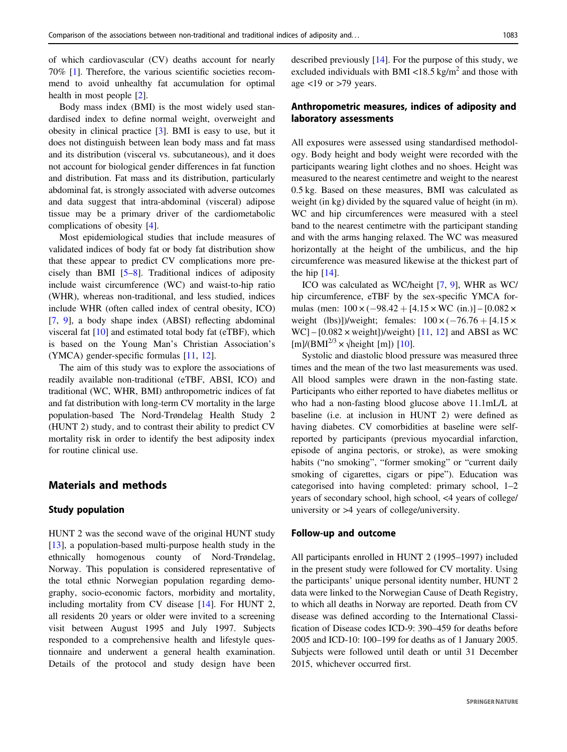of which cardiovascular (CV) deaths account for nearly 70% [\[1](#page-9-0)]. Therefore, the various scientific societies recommend to avoid unhealthy fat accumulation for optimal health in most people [[2](#page-9-0)].

Body mass index (BMI) is the most widely used standardised index to define normal weight, overweight and obesity in clinical practice [\[3](#page-9-0)]. BMI is easy to use, but it does not distinguish between lean body mass and fat mass and its distribution (visceral vs. subcutaneous), and it does not account for biological gender differences in fat function and distribution. Fat mass and its distribution, particularly abdominal fat, is strongly associated with adverse outcomes and data suggest that intra-abdominal (visceral) adipose tissue may be a primary driver of the cardiometabolic complications of obesity [\[4](#page-9-0)].

Most epidemiological studies that include measures of validated indices of body fat or body fat distribution show that these appear to predict CV complications more precisely than BMI [[5](#page-9-0)–[8\]](#page-9-0). Traditional indices of adiposity include waist circumference (WC) and waist-to-hip ratio (WHR), whereas non-traditional, and less studied, indices include WHR (often called index of central obesity, ICO) [\[7](#page-9-0), [9\]](#page-9-0), a body shape index (ABSI) reflecting abdominal visceral fat [[10\]](#page-9-0) and estimated total body fat (eTBF), which is based on the Young Man's Christian Association's (YMCA) gender-specific formulas [[11,](#page-9-0) [12\]](#page-9-0).

The aim of this study was to explore the associations of readily available non-traditional (eTBF, ABSI, ICO) and traditional (WC, WHR, BMI) anthropometric indices of fat and fat distribution with long-term CV mortality in the large population-based The Nord-Trøndelag Health Study 2 (HUNT 2) study, and to contrast their ability to predict CV mortality risk in order to identify the best adiposity index for routine clinical use.

# Materials and methods

# Study population

HUNT 2 was the second wave of the original HUNT study [\[13](#page-9-0)], a population-based multi-purpose health study in the ethnically homogenous county of Nord-Trøndelag, Norway. This population is considered representative of the total ethnic Norwegian population regarding demography, socio-economic factors, morbidity and mortality, including mortality from CV disease [\[14](#page-9-0)]. For HUNT 2, all residents 20 years or older were invited to a screening visit between August 1995 and July 1997. Subjects responded to a comprehensive health and lifestyle questionnaire and underwent a general health examination. Details of the protocol and study design have been described previously [\[14](#page-9-0)]. For the purpose of this study, we excluded individuals with BMI <18.5 kg/m<sup>2</sup> and those with age  $<$ 19 or  $>$ 79 years.

# Anthropometric measures, indices of adiposity and laboratory assessments

All exposures were assessed using standardised methodology. Body height and body weight were recorded with the participants wearing light clothes and no shoes. Height was measured to the nearest centimetre and weight to the nearest 0.5 kg. Based on these measures, BMI was calculated as weight (in kg) divided by the squared value of height (in m). WC and hip circumferences were measured with a steel band to the nearest centimetre with the participant standing and with the arms hanging relaxed. The WC was measured horizontally at the height of the umbilicus, and the hip circumference was measured likewise at the thickest part of the hip  $[14]$  $[14]$ .

ICO was calculated as WC/height [\[7](#page-9-0), [9](#page-9-0)], WHR as WC/ hip circumference, eTBF by the sex-specific YMCA formulas (men:  $100 \times (-98.42 + [4.15 \times WC \text{ (in.)}] - [0.082 \times$ weight (lbs)])/weight; females:  $100 \times (-76.76 + 14.15 \times$  $WC$  – [0.082  $\times$  weight])/weight) [\[11](#page-9-0), [12\]](#page-9-0) and ABSI as WC  $[m]/(BMI^{2/3} \times \text{height } [m])$  [\[10](#page-9-0)].

Systolic and diastolic blood pressure was measured three times and the mean of the two last measurements was used. All blood samples were drawn in the non-fasting state. Participants who either reported to have diabetes mellitus or who had a non-fasting blood glucose above 11.1mL/L at baseline (i.e. at inclusion in HUNT 2) were defined as having diabetes. CV comorbidities at baseline were selfreported by participants (previous myocardial infarction, episode of angina pectoris, or stroke), as were smoking habits ("no smoking", "former smoking" or "current daily smoking of cigarettes, cigars or pipe"). Education was categorised into having completed: primary school, 1–2 years of secondary school, high school, <4 years of college/ university or >4 years of college/university.

## Follow-up and outcome

All participants enrolled in HUNT 2 (1995–1997) included in the present study were followed for CV mortality. Using the participants' unique personal identity number, HUNT 2 data were linked to the Norwegian Cause of Death Registry, to which all deaths in Norway are reported. Death from CV disease was defined according to the International Classification of Disease codes ICD-9: 390–459 for deaths before 2005 and ICD-10: 100–199 for deaths as of 1 January 2005. Subjects were followed until death or until 31 December 2015, whichever occurred first.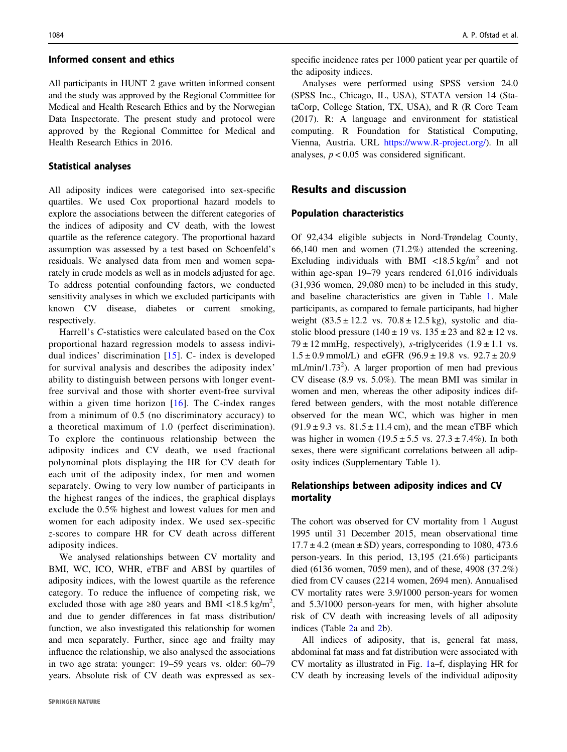#### Informed consent and ethics

All participants in HUNT 2 gave written informed consent and the study was approved by the Regional Committee for Medical and Health Research Ethics and by the Norwegian Data Inspectorate. The present study and protocol were approved by the Regional Committee for Medical and Health Research Ethics in 2016.

## Statistical analyses

All adiposity indices were categorised into sex-specific quartiles. We used Cox proportional hazard models to explore the associations between the different categories of the indices of adiposity and CV death, with the lowest quartile as the reference category. The proportional hazard assumption was assessed by a test based on Schoenfeld's residuals. We analysed data from men and women separately in crude models as well as in models adjusted for age. To address potential confounding factors, we conducted sensitivity analyses in which we excluded participants with known CV disease, diabetes or current smoking, respectively.

Harrell's C-statistics were calculated based on the Cox proportional hazard regression models to assess individual indices' discrimination [[15](#page-9-0)]. C- index is developed for survival analysis and describes the adiposity index' ability to distinguish between persons with longer eventfree survival and those with shorter event-free survival within a given time horizon [[16\]](#page-9-0). The C-index ranges from a minimum of 0.5 (no discriminatory accuracy) to a theoretical maximum of 1.0 (perfect discrimination). To explore the continuous relationship between the adiposity indices and CV death, we used fractional polynominal plots displaying the HR for CV death for each unit of the adiposity index, for men and women separately. Owing to very low number of participants in the highest ranges of the indices, the graphical displays exclude the 0.5% highest and lowest values for men and women for each adiposity index. We used sex-specific z-scores to compare HR for CV death across different adiposity indices.

We analysed relationships between CV mortality and BMI, WC, ICO, WHR, eTBF and ABSI by quartiles of adiposity indices, with the lowest quartile as the reference category. To reduce the influence of competing risk, we excluded those with age  $\geq 80$  years and BMI <18.5 kg/m<sup>2</sup>, and due to gender differences in fat mass distribution/ function, we also investigated this relationship for women and men separately. Further, since age and frailty may influence the relationship, we also analysed the associations in two age strata: younger: 19–59 years vs. older: 60–79 years. Absolute risk of CV death was expressed as sexspecific incidence rates per 1000 patient year per quartile of the adiposity indices.

Analyses were performed using SPSS version 24.0 (SPSS Inc., Chicago, IL, USA), STATA version 14 (StataCorp, College Station, TX, USA), and R (R Core Team (2017). R: A language and environment for statistical computing. R Foundation for Statistical Computing, Vienna, Austria. URL [https://www.R-project.org/\)](https://www.R-project.org/). In all analyses,  $p < 0.05$  was considered significant.

# Results and discussion

## Population characteristics

Of 92,434 eligible subjects in Nord-Trøndelag County, 66,140 men and women (71.2%) attended the screening. Excluding individuals with BMI <18.5 kg/m<sup>2</sup> and not within age-span 19–79 years rendered 61,016 individuals (31,936 women, 29,080 men) to be included in this study, and baseline characteristics are given in Table [1](#page-3-0). Male participants, as compared to female participants, had higher weight  $(83.5 \pm 12.2 \text{ vs. } 70.8 \pm 12.5 \text{ kg})$ , systolic and diastolic blood pressure  $(140 \pm 19 \text{ vs. } 135 \pm 23 \text{ and } 82 \pm 12 \text{ vs. } 135 \pm 23 \text{ and } 135 \pm 12 \text{ vs. } 135 \pm 23 \text{ and } 135 \pm 12 \text{ vs. } 135 \pm 23 \text{ and } 135 \pm 12 \text{ vs. } 135 \pm 23 \text{ and } 135 \pm 23 \text{ vs. } 135 \pm 23 \text{ vs. } 135 \pm 23 \text{ vs. } 135 \pm 23$  $79 \pm 12$  mmHg, respectively), s-triglycerides  $(1.9 \pm 1.1$  vs.  $1.5 \pm 0.9$  mmol/L) and eGFR  $(96.9 \pm 19.8$  vs.  $92.7 \pm 20.9$ mL/min/1.73<sup>2</sup>). A larger proportion of men had previous CV disease (8.9 vs. 5.0%). The mean BMI was similar in women and men, whereas the other adiposity indices differed between genders, with the most notable difference observed for the mean WC, which was higher in men  $(91.9 \pm 9.3 \text{ vs. } 81.5 \pm 11.4 \text{ cm})$ , and the mean eTBF which was higher in women  $(19.5 \pm 5.5 \text{ vs. } 27.3 \pm 7.4\%)$ . In both sexes, there were significant correlations between all adiposity indices (Supplementary Table 1).

# Relationships between adiposity indices and CV mortality

The cohort was observed for CV mortality from 1 August 1995 until 31 December 2015, mean observational time  $17.7 \pm 4.2$  (mean  $\pm$  SD) years, corresponding to 1080, 473.6 person-years. In this period, 13,195 (21.6%) participants died (6136 women, 7059 men), and of these, 4908 (37.2%) died from CV causes (2214 women, 2694 men). Annualised CV mortality rates were 3.9/1000 person-years for women and 5.3/1000 person-years for men, with higher absolute risk of CV death with increasing levels of all adiposity indices (Table [2](#page-4-0)a and [2b](#page-5-0)).

All indices of adiposity, that is, general fat mass, abdominal fat mass and fat distribution were associated with CV mortality as illustrated in Fig. [1](#page-6-0)a–f, displaying HR for CV death by increasing levels of the individual adiposity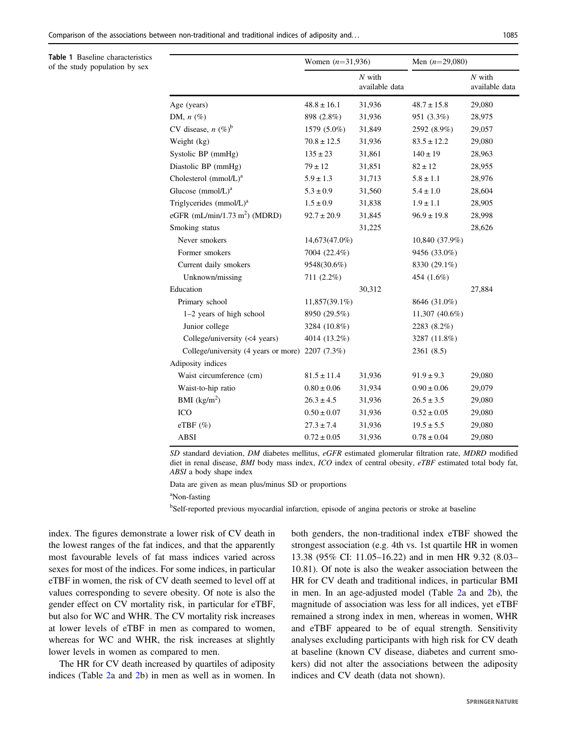<span id="page-3-0"></span>

|                                                  | Women $(n=31,936)$ |                            | Men $(n=29,080)$ |                            |  |  |
|--------------------------------------------------|--------------------|----------------------------|------------------|----------------------------|--|--|
|                                                  |                    | $N$ with<br>available data |                  | $N$ with<br>available data |  |  |
| Age (years)                                      | $48.8 \pm 16.1$    | 31,936                     | $48.7 \pm 15.8$  | 29,080                     |  |  |
| DM, $n$ $(\%)$                                   | 898 (2.8%)         | 31,936                     | 951 (3.3%)       | 28,975                     |  |  |
| CV disease, $n (\%)^b$                           | 1579 (5.0%)        | 31,849                     | 2592 (8.9%)      | 29,057                     |  |  |
| Weight (kg)                                      | $70.8 \pm 12.5$    | 31,936                     | $83.5 \pm 12.2$  | 29,080                     |  |  |
| Systolic BP (mmHg)                               | $135 \pm 23$       | 31,861                     | $140 \pm 19$     | 28,963                     |  |  |
| Diastolic BP (mmHg)                              | $79 \pm 12$        | 31,851                     | $82 \pm 12$      | 28,955                     |  |  |
| Cholesterol $(mmol/L)^a$                         | $5.9 \pm 1.3$      | 31,713                     | $5.8 \pm 1.1$    | 28,976                     |  |  |
| Glucose $(mmol/L)^a$                             | $5.3 \pm 0.9$      | 31,560                     | $5.4 \pm 1.0$    | 28,604                     |  |  |
| Triglycerides (mmol/L) <sup>a</sup>              | $1.5 \pm 0.9$      | 31,838                     | $1.9 \pm 1.1$    | 28,905                     |  |  |
| eGFR (mL/min/1.73 m <sup>2</sup> ) (MDRD)        | $92.7 \pm 20.9$    | 31,845                     | $96.9 \pm 19.8$  | 28,998                     |  |  |
| Smoking status                                   |                    | 31,225                     |                  | 28,626                     |  |  |
| Never smokers                                    | 14,673(47.0%)      |                            | 10,840 (37.9%)   |                            |  |  |
| Former smokers                                   | 7004 (22.4%)       |                            | 9456 (33.0%)     |                            |  |  |
| Current daily smokers                            | 9548(30.6%)        |                            | 8330 (29.1%)     |                            |  |  |
| Unknown/missing                                  | 711 (2.2%)         |                            | 454 (1.6%)       |                            |  |  |
| Education                                        |                    | 30,312                     |                  | 27,884                     |  |  |
| Primary school                                   | 11,857(39.1%)      |                            | 8646 (31.0%)     |                            |  |  |
| 1-2 years of high school                         | 8950 (29.5%)       |                            | 11,307 (40.6%)   |                            |  |  |
| Junior college                                   | 3284 (10.8%)       |                            | 2283 (8.2%)      |                            |  |  |
| College/university (<4 years)                    | 4014 (13.2%)       |                            | 3287 (11.8%)     |                            |  |  |
| College/university (4 years or more) 2207 (7.3%) |                    |                            | 2361 (8.5)       |                            |  |  |
| Adiposity indices                                |                    |                            |                  |                            |  |  |
| Waist circumference (cm)                         | $81.5 \pm 11.4$    | 31,936                     | $91.9 \pm 9.3$   | 29,080                     |  |  |
| Waist-to-hip ratio                               | $0.80 \pm 0.06$    | 31,934                     | $0.90 \pm 0.06$  | 29,079                     |  |  |
| BMI $(kg/m2)$                                    | $26.3 \pm 4.5$     | 31,936                     | $26.5 \pm 3.5$   | 29,080                     |  |  |
| ICO                                              | $0.50 \pm 0.07$    | 31,936                     | $0.52 \pm 0.05$  | 29,080                     |  |  |
| eTBF $(\%)$                                      | $27.3 \pm 7.4$     | 31,936                     | $19.5 \pm 5.5$   | 29,080                     |  |  |
| <b>ABSI</b>                                      | $0.72 \pm 0.05$    | 31,936                     | $0.78 \pm 0.04$  | 29,080                     |  |  |

SD standard deviation, DM diabetes mellitus, eGFR estimated glomerular filtration rate, MDRD modified diet in renal disease, BMI body mass index, ICO index of central obesity, eTBF estimated total body fat, ABSI a body shape index

Data are given as mean plus/minus SD or proportions

a Non-fasting

<sup>b</sup>Self-reported previous myocardial infarction, episode of angina pectoris or stroke at baseline

index. The figures demonstrate a lower risk of CV death in the lowest ranges of the fat indices, and that the apparently most favourable levels of fat mass indices varied across sexes for most of the indices. For some indices, in particular eTBF in women, the risk of CV death seemed to level off at values corresponding to severe obesity. Of note is also the gender effect on CV mortality risk, in particular for eTBF, but also for WC and WHR. The CV mortality risk increases at lower levels of eTBF in men as compared to women, whereas for WC and WHR, the risk increases at slightly lower levels in women as compared to men.

The HR for CV death increased by quartiles of adiposity indices (Table [2a](#page-4-0) and [2](#page-5-0)b) in men as well as in women. In both genders, the non-traditional index eTBF showed the strongest association (e.g. 4th vs. 1st quartile HR in women 13.38 (95% CI: 11.05–16.22) and in men HR 9.32 (8.03– 10.81). Of note is also the weaker association between the HR for CV death and traditional indices, in particular BMI in men. In an age-adjusted model (Table [2](#page-4-0)a and [2](#page-5-0)b), the magnitude of association was less for all indices, yet eTBF remained a strong index in men, whereas in women, WHR and eTBF appeared to be of equal strength. Sensitivity analyses excluding participants with high risk for CV death at baseline (known CV disease, diabetes and current smokers) did not alter the associations between the adiposity indices and CV death (data not shown).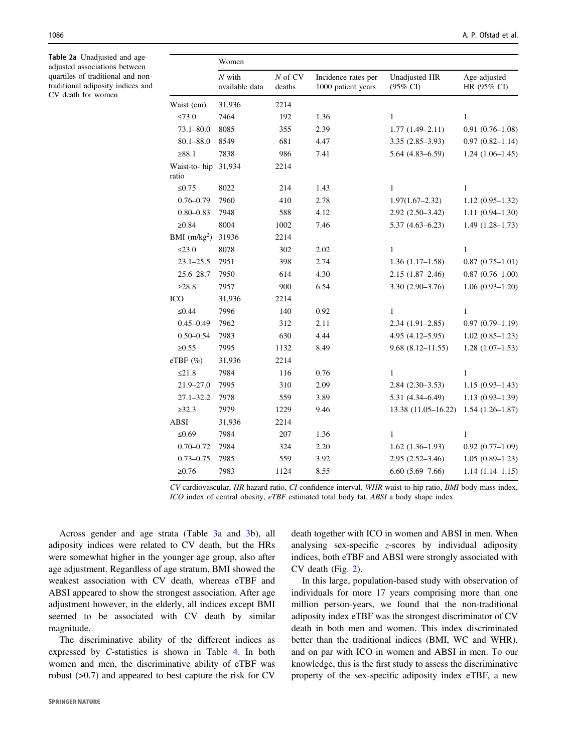<span id="page-4-0"></span>Table 2a Unadjusted and ageadjusted associations between quartiles of traditional and nontraditional adiposity indices and CV death for women

|                       | Women                      |                       |                                           |                           |                             |  |
|-----------------------|----------------------------|-----------------------|-------------------------------------------|---------------------------|-----------------------------|--|
|                       | $N$ with<br>available data | $N$ of $CV$<br>deaths | Incidence rates per<br>1000 patient years | Unadjusted HR<br>(95% CI) | Age-adjusted<br>HR (95% CI) |  |
| Waist (cm)            | 31,936                     | 2214                  |                                           |                           |                             |  |
| $≤73.0$               | 7464                       | 192                   | 1.36                                      | $\mathbf{1}$              | $\mathbf{1}$                |  |
| $73.1 - 80.0$         | 8085                       | 355                   | 2.39                                      | $1.77(1.49 - 2.11)$       | $0.91(0.76 - 1.08)$         |  |
| $80.1 - 88.0$         | 8549                       | 681                   | 4.47                                      | $3.35(2.85-3.93)$         | $0.97(0.82 - 1.14)$         |  |
| >88.1                 | 7838                       | 986                   | 7.41                                      | $5.64(4.83 - 6.59)$       | $1.24(1.06-1.45)$           |  |
| Waist-to-hip<br>ratio | 31,934                     | 2214                  |                                           |                           |                             |  |
| $≤0.75$               | 8022                       | 214                   | 1.43                                      | $\mathbf{1}$              | $\mathbf{1}$                |  |
| $0.76 - 0.79$         | 7960                       | 410                   | 2.78                                      | $1.97(1.67 - 2.32)$       | $1.12(0.95-1.32)$           |  |
| $0.80 - 0.83$         | 7948                       | 588                   | 4.12                                      | $2.92(2.50-3.42)$         | $1.11(0.94 - 1.30)$         |  |
| $\geq 0.84$           | 8004                       | 1002                  | 7.46                                      | $5.37(4.63 - 6.23)$       | $1.49(1.28 - 1.73)$         |  |
| BMI $(m/kg2)$         | 31936                      | 2214                  |                                           |                           |                             |  |
| $\leq$ 23.0           | 8078                       | 302                   | 2.02                                      | 1                         | $\mathbf{1}$                |  |
| $23.1 - 25.5$         | 7951                       | 398                   | 2.74                                      | $1.36(1.17-1.58)$         | $0.87(0.75-1.01)$           |  |
| $25.6 - 28.7$         | 7950                       | 614                   | 4.30                                      | $2.15(1.87-2.46)$         | $0.87(0.76 - 1.00)$         |  |
| >28.8                 | 7957                       | 900                   | 6.54                                      | $3.30(2.90 - 3.76)$       | $1.06(0.93 - 1.20)$         |  |
| <b>ICO</b>            | 31,936                     | 2214                  |                                           |                           |                             |  |
| $≤0.44$               | 7996                       | 140                   | 0.92                                      | 1                         | $\mathbf{1}$                |  |
| $0.45 - 0.49$         | 7962                       | 312                   | 2.11                                      | $2.34(1.91 - 2.85)$       | $0.97(0.79-1.19)$           |  |
| $0.50 - 0.54$         | 7983                       | 630                   | 4.44                                      | $4.95(4.12 - 5.95)$       | $1.02(0.85-1.23)$           |  |
| $\ge 0.55$            | 7995                       | 1132                  | 8.49                                      | $9.68(8.12 - 11.55)$      | $1.28(1.07-1.53)$           |  |
| eTBF (%)              | 31,936                     | 2214                  |                                           |                           |                             |  |
| $\leq$ 21.8           | 7984                       | 116                   | 0.76                                      | 1                         | $\mathbf{1}$                |  |
| $21.9 - 27.0$         | 7995                       | 310                   | 2.09                                      | $2.84(2.30-3.53)$         | $1.15(0.93 - 1.43)$         |  |
| $27.1 - 32.2$         | 7978                       | 559                   | 3.89                                      | 5.31 (4.34-6.49)          | $1.13(0.93 - 1.39)$         |  |
| $\geq 32.3$           | 7979                       | 1229                  | 9.46                                      | 13.38 (11.05-16.22)       | $1.54(1.26 - 1.87)$         |  |
| <b>ABSI</b>           | 31,936                     | 2214                  |                                           |                           |                             |  |
| ≤0.69                 | 7984                       | 207                   | 1.36                                      | 1                         | $\mathbf{1}$                |  |
| $0.70 - 0.72$         | 7984                       | 324                   | 2.20                                      | $1.62(1.36-1.93)$         | $0.92(0.77-1.09)$           |  |
| $0.73 - 0.75$         | 7985                       | 559                   | 3.92                                      | $2.95(2.52 - 3.46)$       | $1.05(0.89-1.23)$           |  |
| $\ge 0.76$            | 7983                       | 1124                  | 8.55                                      | $6.60(5.69 - 7.66)$       | $1.14(1.14-1.15)$           |  |

CV cardiovascular, HR hazard ratio, CI confidence interval, WHR waist-to-hip ratio, BMI body mass index, ICO index of central obesity, eTBF estimated total body fat, ABSI a body shape index

Across gender and age strata (Table [3a](#page-7-0) and [3](#page-8-0)b), all adiposity indices were related to CV death, but the HRs were somewhat higher in the younger age group, also after age adjustment. Regardless of age stratum, BMI showed the weakest association with CV death, whereas eTBF and ABSI appeared to show the strongest association. After age adjustment however, in the elderly, all indices except BMI seemed to be associated with CV death by similar magnitude.

The discriminative ability of the different indices as expressed by C-statistics is shown in Table [4.](#page-8-0) In both women and men, the discriminative ability of eTBF was robust (>0.7) and appeared to best capture the risk for CV death together with ICO in women and ABSI in men. When analysing sex-specific z-scores by individual adiposity indices, both eTBF and ABSI were strongly associated with CV death (Fig. [2](#page-8-0)).

In this large, population-based study with observation of individuals for more 17 years comprising more than one million person-years, we found that the non-traditional adiposity index eTBF was the strongest discriminator of CV death in both men and women. This index discriminated better than the traditional indices (BMI, WC and WHR), and on par with ICO in women and ABSI in men. To our knowledge, this is the first study to assess the discriminative property of the sex-specific adiposity index eTBF, a new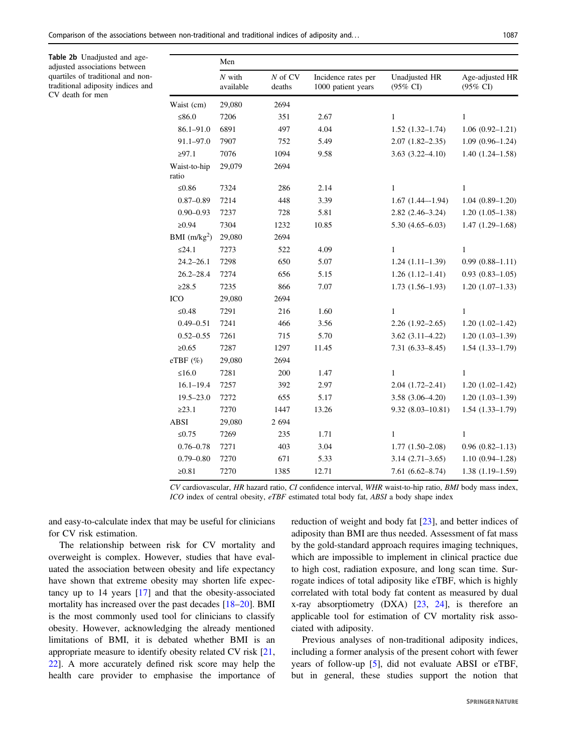<span id="page-5-0"></span>Table 2b Unadjusted and ageadjusted associations between quartiles of traditional and nontraditional adiposity indices and CV death for men

|                       | Men                   |                       |                                           |                           |                                        |  |
|-----------------------|-----------------------|-----------------------|-------------------------------------------|---------------------------|----------------------------------------|--|
|                       | $N$ with<br>available | $N$ of $CV$<br>deaths | Incidence rates per<br>1000 patient years | Unadjusted HR<br>(95% CI) | Age-adjusted HR<br>$(95\% \text{ CI})$ |  |
| Waist (cm)            | 29,080                | 2694                  |                                           |                           |                                        |  |
| $≤86.0$               | 7206                  | 351                   | 2.67                                      | $\mathbf{1}$              | 1                                      |  |
| 86.1-91.0             | 6891                  | 497                   | 4.04                                      | $1.52(1.32 - 1.74)$       | $1.06(0.92 - 1.21)$                    |  |
| 91.1-97.0             | 7907                  | 752                   | 5.49                                      | $2.07(1.82 - 2.35)$       | $1.09(0.96-1.24)$                      |  |
| >97.1                 | 7076                  | 1094                  | 9.58                                      | $3.63(3.22 - 4.10)$       | $1.40(1.24 - 1.58)$                    |  |
| Waist-to-hip<br>ratio | 29,079                | 2694                  |                                           |                           |                                        |  |
| $≤0.86$               | 7324                  | 286                   | 2.14                                      | $\mathbf{1}$              | $\mathbf{1}$                           |  |
| $0.87 - 0.89$         | 7214                  | 448                   | 3.39                                      | $1.67(1.44 - 1.94)$       | $1.04(0.89-1.20)$                      |  |
| $0.90 - 0.93$         | 7237                  | 728                   | 5.81                                      | $2.82(2.46-3.24)$         | $1.20(1.05-1.38)$                      |  |
| $\ge 0.94$            | 7304                  | 1232                  | 10.85                                     | $5.30(4.65 - 6.03)$       | $1.47(1.29-1.68)$                      |  |
| BMI $(m/kg2)$         | 29,080                | 2694                  |                                           |                           |                                        |  |
| $\leq$ 24.1           | 7273                  | 522                   | 4.09                                      | $\mathbf{1}$              | 1                                      |  |
| $24.2 - 26.1$         | 7298                  | 650                   | 5.07                                      | $1.24(1.11-1.39)$         | $0.99(0.88 - 1.11)$                    |  |
| $26.2 - 28.4$         | 7274                  | 656                   | 5.15                                      | $1.26(1.12 - 1.41)$       | $0.93(0.83 - 1.05)$                    |  |
| >28.5                 | 7235                  | 866                   | 7.07                                      | $1.73(1.56-1.93)$         | $1.20(1.07-1.33)$                      |  |
| <b>ICO</b>            | 29,080                | 2694                  |                                           |                           |                                        |  |
| $≤0.48$               | 7291                  | 216                   | 1.60                                      | $\mathbf{1}$              | $\mathbf{1}$                           |  |
| $0.49 - 0.51$         | 7241                  | 466                   | 3.56                                      | $2.26(1.92 - 2.65)$       | $1.20(1.02 - 1.42)$                    |  |
| $0.52 - 0.55$         | 7261                  | 715                   | 5.70                                      | $3.62(3.11 - 4.22)$       | $1.20(1.03-1.39)$                      |  |
| $\geq 0.65$           | 7287                  | 1297                  | 11.45                                     | $7.31(6.33 - 8.45)$       | $1.54(1.33-1.79)$                      |  |
| eTBF $(\%)$           | 29,080                | 2694                  |                                           |                           |                                        |  |
| $\leq16.0$            | 7281                  | 200                   | 1.47                                      | $\mathbf{1}$              | $\mathbf{1}$                           |  |
| $16.1 - 19.4$         | 7257                  | 392                   | 2.97                                      | $2.04(1.72 - 2.41)$       | $1.20(1.02 - 1.42)$                    |  |
| $19.5 - 23.0$         | 7272                  | 655                   | 5.17                                      | $3.58(3.06-4.20)$         | $1.20(1.03-1.39)$                      |  |
| >23.1                 | 7270                  | 1447                  | 13.26                                     | $9.32(8.03 - 10.81)$      | $1.54(1.33-1.79)$                      |  |
| <b>ABSI</b>           | 29,080                | 2 6 9 4               |                                           |                           |                                        |  |
| $≤0.75$               | 7269                  | 235                   | 1.71                                      | $\mathbf{1}$              | 1                                      |  |
| $0.76 - 0.78$         | 7271                  | 403                   | 3.04                                      | $1.77(1.50-2.08)$         | $0.96(0.82 - 1.13)$                    |  |
| $0.79 - 0.80$         | 7270                  | 671                   | 5.33                                      | $3.14(2.71 - 3.65)$       | $1.10(0.94 - 1.28)$                    |  |
| $\ge 0.81$            | 7270                  | 1385                  | 12.71                                     | $7.61(6.62 - 8.74)$       | $1.38(1.19-1.59)$                      |  |

CV cardiovascular, HR hazard ratio, CI confidence interval, WHR waist-to-hip ratio, BMI body mass index, ICO index of central obesity, eTBF estimated total body fat, ABSI a body shape index

and easy-to-calculate index that may be useful for clinicians for CV risk estimation.

The relationship between risk for CV mortality and overweight is complex. However, studies that have evaluated the association between obesity and life expectancy have shown that extreme obesity may shorten life expectancy up to 14 years [\[17](#page-9-0)] and that the obesity-associated mortality has increased over the past decades [[18](#page-9-0)–[20\]](#page-9-0). BMI is the most commonly used tool for clinicians to classify obesity. However, acknowledging the already mentioned limitations of BMI, it is debated whether BMI is an appropriate measure to identify obesity related CV risk [[21,](#page-9-0) [22](#page-9-0)]. A more accurately defined risk score may help the health care provider to emphasise the importance of reduction of weight and body fat [[23\]](#page-10-0), and better indices of adiposity than BMI are thus needed. Assessment of fat mass by the gold-standard approach requires imaging techniques, which are impossible to implement in clinical practice due to high cost, radiation exposure, and long scan time. Surrogate indices of total adiposity like eTBF, which is highly correlated with total body fat content as measured by dual x-ray absorptiometry (DXA) [[23,](#page-10-0) [24](#page-10-0)], is therefore an applicable tool for estimation of CV mortality risk associated with adiposity.

Previous analyses of non-traditional adiposity indices, including a former analysis of the present cohort with fewer years of follow-up [\[5](#page-9-0)], did not evaluate ABSI or eTBF, but in general, these studies support the notion that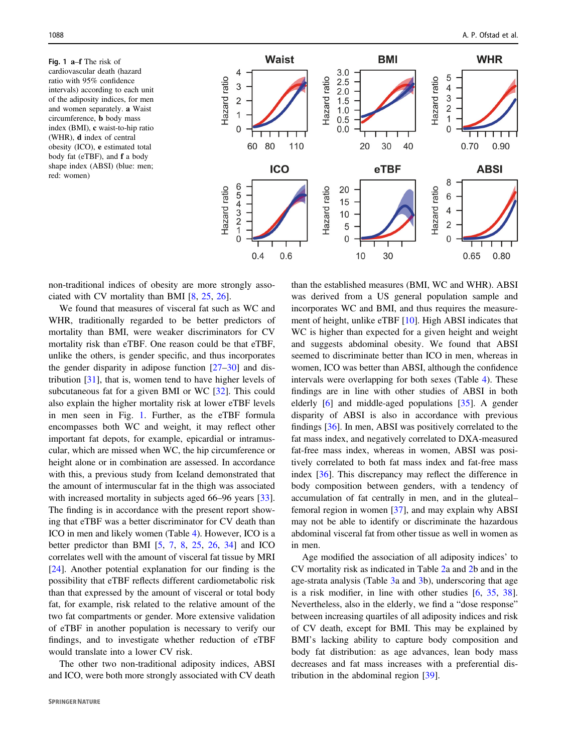<span id="page-6-0"></span>Fig. 1 a–f The risk of cardiovascular death (hazard ratio with 95% confidence intervals) according to each unit of the adiposity indices, for men and women separately. a Waist circumference, b body mass index (BMI), c waist-to-hip ratio (WHR), d index of central obesity (ICO), e estimated total body fat (eTBF), and f a body shape index (ABSI) (blue: men; red: women)



non-traditional indices of obesity are more strongly associated with CV mortality than BMI [[8,](#page-9-0) [25,](#page-10-0) [26](#page-10-0)].

We found that measures of visceral fat such as WC and WHR, traditionally regarded to be better predictors of mortality than BMI, were weaker discriminators for CV mortality risk than eTBF. One reason could be that eTBF, unlike the others, is gender specific, and thus incorporates the gender disparity in adipose function  $[27-30]$  $[27-30]$  $[27-30]$  $[27-30]$  $[27-30]$  and distribution [\[31](#page-10-0)], that is, women tend to have higher levels of subcutaneous fat for a given BMI or WC [[32\]](#page-10-0). This could also explain the higher mortality risk at lower eTBF levels in men seen in Fig. 1. Further, as the eTBF formula encompasses both WC and weight, it may reflect other important fat depots, for example, epicardial or intramuscular, which are missed when WC, the hip circumference or height alone or in combination are assessed. In accordance with this, a previous study from Iceland demonstrated that the amount of intermuscular fat in the thigh was associated with increased mortality in subjects aged 66–96 years [\[33](#page-10-0)]. The finding is in accordance with the present report showing that eTBF was a better discriminator for CV death than ICO in men and likely women (Table [4\)](#page-8-0). However, ICO is a better predictor than BMI  $[5, 7, 8, 25, 26, 34]$  $[5, 7, 8, 25, 26, 34]$  $[5, 7, 8, 25, 26, 34]$  $[5, 7, 8, 25, 26, 34]$  $[5, 7, 8, 25, 26, 34]$  $[5, 7, 8, 25, 26, 34]$  $[5, 7, 8, 25, 26, 34]$  $[5, 7, 8, 25, 26, 34]$  $[5, 7, 8, 25, 26, 34]$  $[5, 7, 8, 25, 26, 34]$  $[5, 7, 8, 25, 26, 34]$  $[5, 7, 8, 25, 26, 34]$  and ICO correlates well with the amount of visceral fat tissue by MRI [\[24](#page-10-0)]. Another potential explanation for our finding is the possibility that eTBF reflects different cardiometabolic risk than that expressed by the amount of visceral or total body fat, for example, risk related to the relative amount of the two fat compartments or gender. More extensive validation of eTBF in another population is necessary to verify our findings, and to investigate whether reduction of eTBF would translate into a lower CV risk.

The other two non-traditional adiposity indices, ABSI and ICO, were both more strongly associated with CV death than the established measures (BMI, WC and WHR). ABSI was derived from a US general population sample and incorporates WC and BMI, and thus requires the measurement of height, unlike eTBF [\[10](#page-9-0)]. High ABSI indicates that WC is higher than expected for a given height and weight and suggests abdominal obesity. We found that ABSI seemed to discriminate better than ICO in men, whereas in women, ICO was better than ABSI, although the confidence intervals were overlapping for both sexes (Table [4\)](#page-8-0). These findings are in line with other studies of ABSI in both elderly [[6\]](#page-9-0) and middle-aged populations [\[35](#page-10-0)]. A gender disparity of ABSI is also in accordance with previous findings [[36\]](#page-10-0). In men, ABSI was positively correlated to the fat mass index, and negatively correlated to DXA-measured fat-free mass index, whereas in women, ABSI was positively correlated to both fat mass index and fat-free mass index [\[36](#page-10-0)]. This discrepancy may reflect the difference in body composition between genders, with a tendency of accumulation of fat centrally in men, and in the gluteal– femoral region in women [[37\]](#page-10-0), and may explain why ABSI may not be able to identify or discriminate the hazardous abdominal visceral fat from other tissue as well in women as in men.

Age modified the association of all adiposity indices' to CV mortality risk as indicated in Table [2a](#page-4-0) and [2](#page-5-0)b and in the age-strata analysis (Table [3](#page-7-0)a and [3b](#page-8-0)), underscoring that age is a risk modifier, in line with other studies [[6,](#page-9-0) [35,](#page-10-0) [38\]](#page-10-0). Nevertheless, also in the elderly, we find a "dose response" between increasing quartiles of all adiposity indices and risk of CV death, except for BMI. This may be explained by BMI's lacking ability to capture body composition and body fat distribution: as age advances, lean body mass decreases and fat mass increases with a preferential distribution in the abdominal region [[39\]](#page-10-0).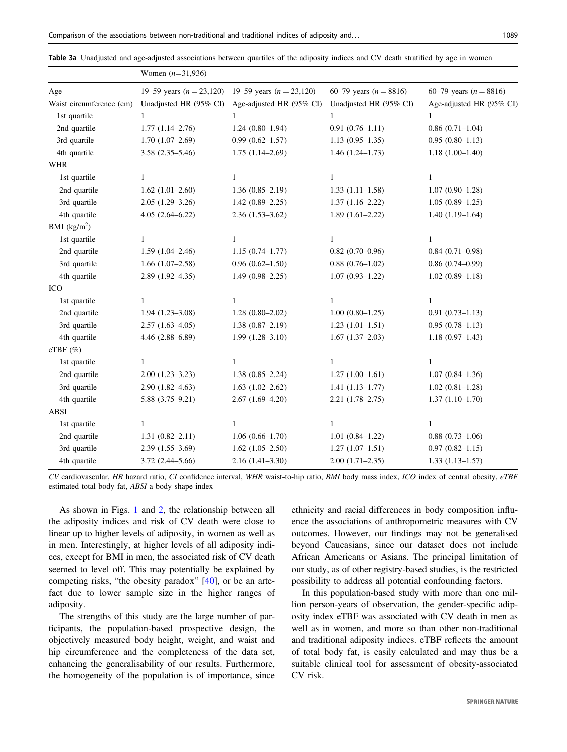<span id="page-7-0"></span>Comparison of the associations between non-traditional and traditional indices of adiposity and...

|                          | Women $(n=31,936)$         |                            |                            |                            |
|--------------------------|----------------------------|----------------------------|----------------------------|----------------------------|
| Age                      | 19–59 years $(n = 23,120)$ | 19–59 years $(n = 23,120)$ | 60–79 years ( $n = 8816$ ) | 60–79 years ( $n = 8816$ ) |
| Waist circumference (cm) | Unadjusted HR (95% CI)     | Age-adjusted HR (95% CI)   | Unadjusted HR (95% CI)     | Age-adjusted HR (95% CI)   |
| 1st quartile             | 1                          | 1                          | $\mathbf{1}$               | 1                          |
| 2nd quartile             | $1.77(1.14 - 2.76)$        | $1.24(0.80-1.94)$          | $0.91(0.76 - 1.11)$        | $0.86(0.71-1.04)$          |
| 3rd quartile             | $1.70(1.07-2.69)$          | $0.99(0.62 - 1.57)$        | $1.13(0.95-1.35)$          | $0.95(0.80 - 1.13)$        |
| 4th quartile             | $3.58(2.35 - 5.46)$        | $1.75(1.14 - 2.69)$        | $1.46(1.24 - 1.73)$        | $1.18(1.00-1.40)$          |
| <b>WHR</b>               |                            |                            |                            |                            |
| 1st quartile             | $\mathbf{1}$               | $\mathbf{1}$               | $\mathbf{1}$               | $\mathbf{1}$               |
| 2nd quartile             | $1.62(1.01-2.60)$          | $1.36(0.85-2.19)$          | $1.33(1.11-1.58)$          | $1.07(0.90-1.28)$          |
| 3rd quartile             | $2.05(1.29-3.26)$          | $1.42(0.89 - 2.25)$        | $1.37(1.16-2.22)$          | $1.05(0.89-1.25)$          |
| 4th quartile             | $4.05(2.64 - 6.22)$        | $2.36(1.53 - 3.62)$        | $1.89(1.61 - 2.22)$        | $1.40(1.19-1.64)$          |
| BMI $(kg/m2)$            |                            |                            |                            |                            |
| 1st quartile             | $\mathbf{1}$               | $\mathbf{1}$               | $\mathbf{1}$               | $\mathbf{1}$               |
| 2nd quartile             | $1.59(1.04 - 2.46)$        | $1.15(0.74 - 1.77)$        | $0.82$ (0.70-0.96)         | $0.84(0.71-0.98)$          |
| 3rd quartile             | $1.66$ $(1.07-2.58)$       | $0.96(0.62 - 1.50)$        | $0.88(0.76-1.02)$          | $0.86(0.74-0.99)$          |
| 4th quartile             | 2.89 (1.92-4.35)           | $1.49(0.98 - 2.25)$        | $1.07(0.93 - 1.22)$        | $1.02(0.89 - 1.18)$        |
| <b>ICO</b>               |                            |                            |                            |                            |
| 1st quartile             | 1                          | $\mathbf{1}$               | 1                          | 1                          |
| 2nd quartile             | $1.94(1.23 - 3.08)$        | $1.28(0.80-2.02)$          | $1.00(0.80-1.25)$          | $0.91(0.73 - 1.13)$        |
| 3rd quartile             | $2.57(1.63-4.05)$          | $1.38(0.87 - 2.19)$        | $1.23(1.01-1.51)$          | $0.95(0.78-1.13)$          |
| 4th quartile             | $4.46(2.88 - 6.89)$        | $1.99(1.28 - 3.10)$        | $1.67(1.37-2.03)$          | $1.18(0.97-1.43)$          |
| eTBF $(\%)$              |                            |                            |                            |                            |
| 1st quartile             | $\mathbf{1}$               | $\mathbf{1}$               | $\mathbf{1}$               | $\mathbf{1}$               |
| 2nd quartile             | $2.00(1.23 - 3.23)$        | $1.38(0.85 - 2.24)$        | $1.27(1.00-1.61)$          | $1.07(0.84 - 1.36)$        |
| 3rd quartile             | $2.90(1.82 - 4.63)$        | $1.63(1.02 - 2.62)$        | $1.41(1.13-1.77)$          | $1.02(0.81-1.28)$          |
| 4th quartile             | 5.88 (3.75-9.21)           | $2.67(1.69-4.20)$          | $2.21(1.78-2.75)$          | $1.37(1.10-1.70)$          |
| <b>ABSI</b>              |                            |                            |                            |                            |
| 1st quartile             | 1                          | $\mathbf{1}$               | $\mathbf{1}$               | $\mathbf{1}$               |
| 2nd quartile             | $1.31(0.82 - 2.11)$        | $1.06(0.66 - 1.70)$        | $1.01(0.84 - 1.22)$        | $0.88(0.73-1.06)$          |
| 3rd quartile             | $2.39(1.55-3.69)$          | $1.62$ $(1.05-2.50)$       | $1.27(1.07-1.51)$          | $0.97(0.82 - 1.15)$        |
| 4th quartile             | $3.72(2.44 - 5.66)$        | $2.16(1.41-3.30)$          | $2.00(1.71-2.35)$          | $1.33(1.13 - 1.57)$        |

| Table 3a Unadjusted and age-adjusted associations between quartiles of the adiposity indices and CV death stratified by age in women |  |  |  |  |  |  |
|--------------------------------------------------------------------------------------------------------------------------------------|--|--|--|--|--|--|
|                                                                                                                                      |  |  |  |  |  |  |

CV cardiovascular, HR hazard ratio, CI confidence interval, WHR waist-to-hip ratio, BMI body mass index, ICO index of central obesity, eTBF estimated total body fat, ABSI a body shape index

As shown in Figs. [1](#page-6-0) and [2,](#page-8-0) the relationship between all the adiposity indices and risk of CV death were close to linear up to higher levels of adiposity, in women as well as in men. Interestingly, at higher levels of all adiposity indices, except for BMI in men, the associated risk of CV death seemed to level off. This may potentially be explained by competing risks, "the obesity paradox" [\[40](#page-10-0)], or be an artefact due to lower sample size in the higher ranges of adiposity.

The strengths of this study are the large number of participants, the population-based prospective design, the objectively measured body height, weight, and waist and hip circumference and the completeness of the data set, enhancing the generalisability of our results. Furthermore, the homogeneity of the population is of importance, since ethnicity and racial differences in body composition influence the associations of anthropometric measures with CV outcomes. However, our findings may not be generalised beyond Caucasians, since our dataset does not include African Americans or Asians. The principal limitation of our study, as of other registry-based studies, is the restricted possibility to address all potential confounding factors.

In this population-based study with more than one million person-years of observation, the gender-specific adiposity index eTBF was associated with CV death in men as well as in women, and more so than other non-traditional and traditional adiposity indices. eTBF reflects the amount of total body fat, is easily calculated and may thus be a suitable clinical tool for assessment of obesity-associated CV risk.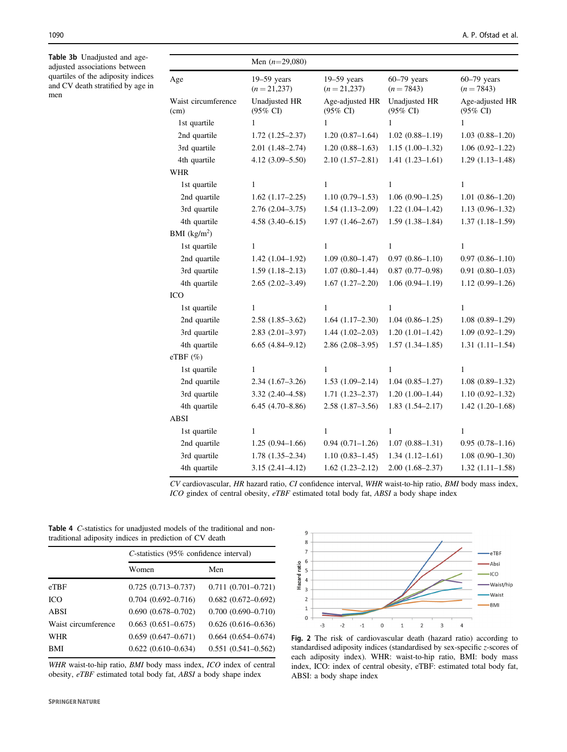<span id="page-8-0"></span>Table 3b Unadjusted and ageadjusted associations between quartiles of the adiposity indices and CV death stratified by age in men

|                             | Men $(n=29,080)$              |                               |                                      |                                        |
|-----------------------------|-------------------------------|-------------------------------|--------------------------------------|----------------------------------------|
| Age                         | $19-59$ years<br>$(n=21,237)$ | $19-59$ years<br>$(n=21,237)$ | $60-79$ years<br>$(n = 7843)$        | $60-79$ years<br>$(n=7843)$            |
| Waist circumference<br>(cm) | Unadjusted HR<br>(95% CI)     | Age-adjusted HR<br>(95% CI)   | Unadjusted HR<br>$(95\% \text{ CI})$ | Age-adjusted HR<br>$(95\% \text{ CI})$ |
| 1st quartile                | $\mathbf{1}$                  | 1                             | $\mathbf{1}$                         | 1                                      |
| 2nd quartile                | $1.72(1.25-2.37)$             | $1.20(0.87-1.64)$             | $1.02(0.88 - 1.19)$                  | $1.03(0.88 - 1.20)$                    |
| 3rd quartile                | $2.01(1.48-2.74)$             | $1.20(0.88 - 1.63)$           | $1.15(1.00-1.32)$                    | $1.06(0.92 - 1.22)$                    |
| 4th quartile                | $4.12(3.09 - 5.50)$           | $2.10(1.57-2.81)$             | $1.41(1.23-1.61)$                    | $1.29(1.13 - 1.48)$                    |
| WHR                         |                               |                               |                                      |                                        |
| 1st quartile                | $\mathbf{1}$                  | $\mathbf{1}$                  | $\mathbf{1}$                         | $\mathbf{1}$                           |
| 2nd quartile                | $1.62$ $(1.17-2.25)$          | $1.10(0.79-1.53)$             | $1.06(0.90-1.25)$                    | $1.01(0.86 - 1.20)$                    |
| 3rd quartile                | $2.76(2.04 - 3.75)$           | $1.54(1.13-2.09)$             | $1.22(1.04 - 1.42)$                  | $1.13(0.96 - 1.32)$                    |
| 4th quartile                | $4.58(3.40 - 6.15)$           | $1.97(1.46 - 2.67)$           | $1.59(1.38-1.84)$                    | $1.37(1.18-1.59)$                      |
| BMI $(kg/m^2)$              |                               |                               |                                      |                                        |
| 1st quartile                | 1                             | 1                             | $\mathbf{1}$                         | $\mathbf{1}$                           |
| 2nd quartile                | $1.42(1.04-1.92)$             | $1.09(0.80 - 1.47)$           | $0.97(0.86 - 1.10)$                  | $0.97(0.86 - 1.10)$                    |
| 3rd quartile                | $1.59(1.18-2.13)$             | $1.07(0.80 - 1.44)$           | $0.87(0.77-0.98)$                    | $0.91(0.80-1.03)$                      |
| 4th quartile                | $2.65(2.02 - 3.49)$           | $1.67(1.27-2.20)$             | $1.06(0.94 - 1.19)$                  | $1.12(0.99-1.26)$                      |
| ICO                         |                               |                               |                                      |                                        |
| 1st quartile                | $\mathbf{1}$                  | $\mathbf{1}$                  | $\mathbf{1}$                         | $\mathbf{1}$                           |
| 2nd quartile                | $2.58(1.85-3.62)$             | $1.64(1.17-2.30)$             | $1.04(0.86 - 1.25)$                  | $1.08(0.89-1.29)$                      |
| 3rd quartile                | $2.83(2.01-3.97)$             | $1.44(1.02 - 2.03)$           | $1.20(1.01-1.42)$                    | $1.09(0.92 - 1.29)$                    |
| 4th quartile                | $6.65(4.84 - 9.12)$           | $2.86(2.08-3.95)$             | $1.57(1.34 - 1.85)$                  | $1.31(1.11-1.54)$                      |
| $e$ TBF $(\%)$              |                               |                               |                                      |                                        |
| 1st quartile                | 1                             | $\mathbf{1}$                  | $\mathbf{1}$                         | $\mathbf{1}$                           |
| 2nd quartile                | $2.34(1.67-3.26)$             | $1.53(1.09-2.14)$             | $1.04(0.85-1.27)$                    | $1.08(0.89-1.32)$                      |
| 3rd quartile                | $3.32(2.40-4.58)$             | $1.71(1.23 - 2.37)$           | $1.20(1.00-1.44)$                    | $1.10(0.92 - 1.32)$                    |
| 4th quartile                | $6.45(4.70-8.86)$             | $2.58(1.87-3.56)$             | $1.83(1.54 - 2.17)$                  | $1.42(1.20-1.68)$                      |
| ABSI                        |                               |                               |                                      |                                        |
| 1st quartile                | $\mathbf{1}$                  | $\mathbf{1}$                  | $\mathbf{1}$                         | $\mathbf{1}$                           |
| 2nd quartile                | $1.25(0.94 - 1.66)$           | $0.94(0.71-1.26)$             | $1.07(0.88 - 1.31)$                  | $0.95(0.78-1.16)$                      |
| 3rd quartile                | $1.78$ $(1.35-2.34)$          | $1.10(0.83 - 1.45)$           | $1.34(1.12 - 1.61)$                  | $1.08(0.90 - 1.30)$                    |
| 4th quartile                | $3.15(2.41 - 4.12)$           | $1.62(1.23 - 2.12)$           | $2.00(1.68 - 2.37)$                  | $1.32(1.11-1.58)$                      |
|                             |                               |                               |                                      |                                        |

CV cardiovascular, HR hazard ratio, CI confidence interval, WHR waist-to-hip ratio, BMI body mass index, ICO gindex of central obesity, eTBF estimated total body fat, ABSI a body shape index

Table 4 C-statistics for unadjusted models of the traditional and nontraditional adiposity indices in prediction of CV death

|                     | $C$ -statistics (95% confidence interval) |                        |  |  |  |
|---------------------|-------------------------------------------|------------------------|--|--|--|
|                     | Women                                     | Men                    |  |  |  |
| $e$ TBF             | $0.725(0.713 - 0.737)$                    | $0.711(0.701 - 0.721)$ |  |  |  |
| <b>ICO</b>          | $0.704(0.692 - 0.716)$                    | $0.682(0.672 - 0.692)$ |  |  |  |
| <b>ABSI</b>         | $0.690(0.678 - 0.702)$                    | $0.700(0.690 - 0.710)$ |  |  |  |
| Waist circumference | $0.663$ $(0.651 - 0.675)$                 | $0.626(0.616 - 0.636)$ |  |  |  |
| <b>WHR</b>          | $0.659(0.647 - 0.671)$                    | $0.664(0.654 - 0.674)$ |  |  |  |
| <b>BMI</b>          | $0.622(0.610-0.634)$                      | $0.551(0.541 - 0.562)$ |  |  |  |

WHR waist-to-hip ratio, BMI body mass index, ICO index of central obesity, eTBF estimated total body fat, ABSI a body shape index



Fig. 2 The risk of cardiovascular death (hazard ratio) according to standardised adiposity indices (standardised by sex-specific z-scores of each adiposity index). WHR: waist-to-hip ratio, BMI: body mass index, ICO: index of central obesity, eTBF: estimated total body fat, ABSI: a body shape index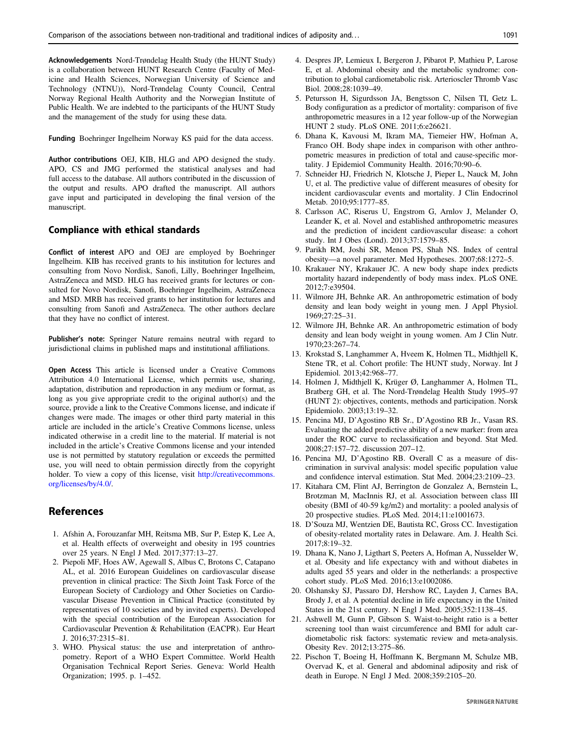<span id="page-9-0"></span>Acknowledgements Nord-Trøndelag Health Study (the HUNT Study) is a collaboration between HUNT Research Centre (Faculty of Medicine and Health Sciences, Norwegian University of Science and Technology (NTNU)), Nord-Trøndelag County Council, Central Norway Regional Health Authority and the Norwegian Institute of Public Health. We are indebted to the participants of the HUNT Study and the management of the study for using these data.

Funding Boehringer Ingelheim Norway KS paid for the data access.

Author contributions OEJ, KIB, HLG and APO designed the study. APO, CS and JMG performed the statistical analyses and had full access to the database. All authors contributed in the discussion of the output and results. APO drafted the manuscript. All authors gave input and participated in developing the final version of the manuscript.

## Compliance with ethical standards

Conflict of interest APO and OEJ are employed by Boehringer Ingelheim. KIB has received grants to his institution for lectures and consulting from Novo Nordisk, Sanofi, Lilly, Boehringer Ingelheim, AstraZeneca and MSD. HLG has received grants for lectures or consulted for Novo Nordisk, Sanofi, Boehringer Ingelheim, AstraZeneca and MSD. MRB has received grants to her institution for lectures and consulting from Sanofi and AstraZeneca. The other authors declare that they have no conflict of interest.

Publisher's note: Springer Nature remains neutral with regard to jurisdictional claims in published maps and institutional affiliations.

Open Access This article is licensed under a Creative Commons Attribution 4.0 International License, which permits use, sharing, adaptation, distribution and reproduction in any medium or format, as long as you give appropriate credit to the original author(s) and the source, provide a link to the Creative Commons license, and indicate if changes were made. The images or other third party material in this article are included in the article's Creative Commons license, unless indicated otherwise in a credit line to the material. If material is not included in the article's Creative Commons license and your intended use is not permitted by statutory regulation or exceeds the permitted use, you will need to obtain permission directly from the copyright holder. To view a copy of this license, visit [http://creativecommons.](http://creativecommons.org/licenses/by/4.0/) [org/licenses/by/4.0/.](http://creativecommons.org/licenses/by/4.0/)

## References

- 1. Afshin A, Forouzanfar MH, Reitsma MB, Sur P, Estep K, Lee A, et al. Health effects of overweight and obesity in 195 countries over 25 years. N Engl J Med. 2017;377:13–27.
- 2. Piepoli MF, Hoes AW, Agewall S, Albus C, Brotons C, Catapano AL, et al. 2016 European Guidelines on cardiovascular disease prevention in clinical practice: The Sixth Joint Task Force of the European Society of Cardiology and Other Societies on Cardiovascular Disease Prevention in Clinical Practice (constituted by representatives of 10 societies and by invited experts). Developed with the special contribution of the European Association for Cardiovascular Prevention & Rehabilitation (EACPR). Eur Heart J. 2016;37:2315–81.
- 3. WHO. Physical status: the use and interpretation of anthropometry. Report of a WHO Expert Committee. World Health Organisation Technical Report Series. Geneva: World Health Organization; 1995. p. 1–452.
- 4. Despres JP, Lemieux I, Bergeron J, Pibarot P, Mathieu P, Larose E, et al. Abdominal obesity and the metabolic syndrome: contribution to global cardiometabolic risk. Arterioscler Thromb Vasc Biol. 2008;28:1039–49.
- 5. Petursson H, Sigurdsson JA, Bengtsson C, Nilsen TI, Getz L. Body configuration as a predictor of mortality: comparison of five anthropometric measures in a 12 year follow-up of the Norwegian HUNT 2 study. PLoS ONE. 2011;6:e26621.
- 6. Dhana K, Kavousi M, Ikram MA, Tiemeier HW, Hofman A, Franco OH. Body shape index in comparison with other anthropometric measures in prediction of total and cause-specific mortality. J Epidemiol Community Health. 2016;70:90–6.
- 7. Schneider HJ, Friedrich N, Klotsche J, Pieper L, Nauck M, John U, et al. The predictive value of different measures of obesity for incident cardiovascular events and mortality. J Clin Endocrinol Metab. 2010;95:1777–85.
- 8. Carlsson AC, Riserus U, Engstrom G, Arnlov J, Melander O, Leander K, et al. Novel and established anthropometric measures and the prediction of incident cardiovascular disease: a cohort study. Int J Obes (Lond). 2013;37:1579–85.
- 9. Parikh RM, Joshi SR, Menon PS, Shah NS. Index of central obesity—a novel parameter. Med Hypotheses. 2007;68:1272–5.
- 10. Krakauer NY, Krakauer JC. A new body shape index predicts mortality hazard independently of body mass index. PLoS ONE. 2012;7:e39504.
- 11. Wilmore JH, Behnke AR. An anthropometric estimation of body density and lean body weight in young men. J Appl Physiol. 1969;27:25–31.
- 12. Wilmore JH, Behnke AR. An anthropometric estimation of body density and lean body weight in young women. Am J Clin Nutr. 1970;23:267–74.
- 13. Krokstad S, Langhammer A, Hveem K, Holmen TL, Midthjell K, Stene TR, et al. Cohort profile: The HUNT study, Norway. Int J Epidemiol. 2013;42:968–77.
- 14. Holmen J, Midthjell K, Krüger Ø, Langhammer A, Holmen TL, Bratberg GH, et al. The Nord-Trøndelag Health Study 1995–97 (HUNT 2): objectives, contents, methods and participation. Norsk Epidemiolo. 2003;13:19–32.
- 15. Pencina MJ, D'Agostino RB Sr., D'Agostino RB Jr., Vasan RS. Evaluating the added predictive ability of a new marker: from area under the ROC curve to reclassification and beyond. Stat Med. 2008;27:157–72. discussion 207–12.
- 16. Pencina MJ, D'Agostino RB. Overall C as a measure of discrimination in survival analysis: model specific population value and confidence interval estimation. Stat Med. 2004;23:2109–23.
- 17. Kitahara CM, Flint AJ, Berrington de Gonzalez A, Bernstein L, Brotzman M, MacInnis RJ, et al. Association between class III obesity (BMI of 40-59 kg/m2) and mortality: a pooled analysis of 20 prospective studies. PLoS Med. 2014;11:e1001673.
- 18. D'Souza MJ, Wentzien DE, Bautista RC, Gross CC. Investigation of obesity-related mortality rates in Delaware. Am. J. Health Sci. 2017;8:19–32.
- 19. Dhana K, Nano J, Ligthart S, Peeters A, Hofman A, Nusselder W, et al. Obesity and life expectancy with and without diabetes in adults aged 55 years and older in the netherlands: a prospective cohort study. PLoS Med. 2016;13:e1002086.
- 20. Olshansky SJ, Passaro DJ, Hershow RC, Layden J, Carnes BA, Brody J, et al. A potential decline in life expectancy in the United States in the 21st century. N Engl J Med. 2005;352:1138–45.
- 21. Ashwell M, Gunn P, Gibson S. Waist-to-height ratio is a better screening tool than waist circumference and BMI for adult cardiometabolic risk factors: systematic review and meta-analysis. Obesity Rev. 2012;13:275–86.
- 22. Pischon T, Boeing H, Hoffmann K, Bergmann M, Schulze MB, Overvad K, et al. General and abdominal adiposity and risk of death in Europe. N Engl J Med. 2008;359:2105–20.